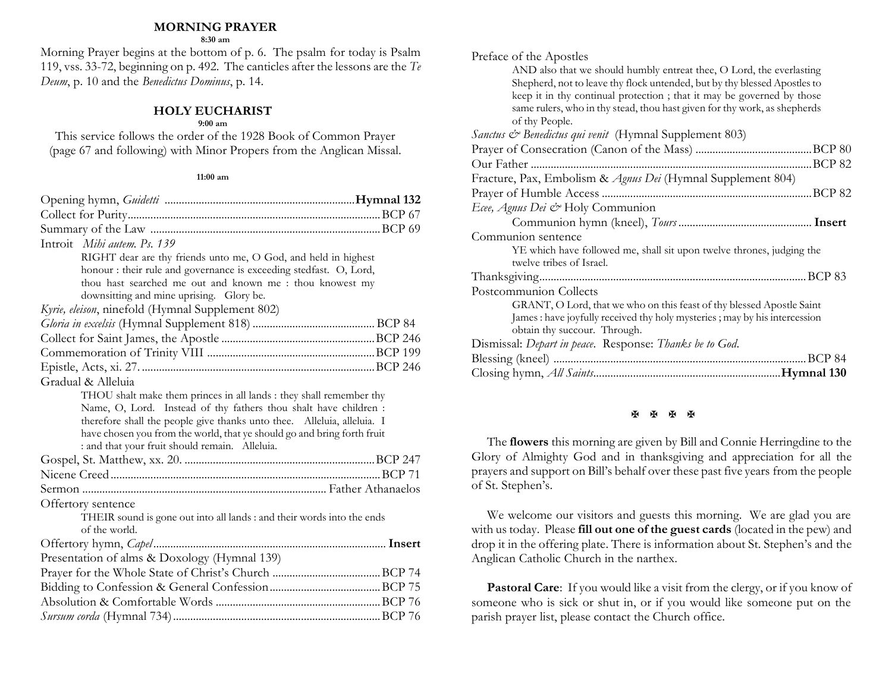#### **MORNING PRAYER**

**8:30 am**

Morning Prayer begins at the bottom of p. 6. The psalm for today is Psalm 119, vss. 33-72, beginning on p. 492. The canticles after the lessons are the *Te Deum*, p. 10 and the *Benedictus Dominus*, p. 14.

## **HOLY EUCHARIST**

#### **9:00 am**

This service follows the order of the 1928 Book of Common Prayer (page 67 and following) with Minor Propers from the Anglican Missal.

#### **11:00 am**

| Introit Mihi autem. Ps. 139                                             |  |
|-------------------------------------------------------------------------|--|
| RIGHT dear are thy friends unto me, O God, and held in highest          |  |
| honour : their rule and governance is exceeding stedfast. O, Lord,      |  |
| thou hast searched me out and known me : thou knowest my                |  |
| downsitting and mine uprising. Glory be.                                |  |
| Kyrie, eleison, ninefold (Hymnal Supplement 802)                        |  |
|                                                                         |  |
|                                                                         |  |
|                                                                         |  |
|                                                                         |  |
| Gradual & Alleluia                                                      |  |
| THOU shalt make them princes in all lands : they shall remember thy     |  |
| Name, O, Lord. Instead of thy fathers thou shalt have children :        |  |
| therefore shall the people give thanks unto thee. Alleluia, alleluia. I |  |
| have chosen you from the world, that ye should go and bring forth fruit |  |
| : and that your fruit should remain. Alleluia.                          |  |
|                                                                         |  |
|                                                                         |  |
|                                                                         |  |
| Offertory sentence                                                      |  |
| THEIR sound is gone out into all lands : and their words into the ends  |  |
| of the world.                                                           |  |
|                                                                         |  |
| Presentation of alms & Doxology (Hymnal 139)                            |  |
|                                                                         |  |
|                                                                         |  |
|                                                                         |  |
|                                                                         |  |

| Preface of the Apostles                                                                                                                                              |
|----------------------------------------------------------------------------------------------------------------------------------------------------------------------|
| AND also that we should humbly entreat thee, O Lord, the everlasting<br>Shepherd, not to leave thy flock untended, but by thy blessed Apostles to                    |
| keep it in thy continual protection; that it may be governed by those<br>same rulers, who in thy stead, thou hast given for thy work, as shepherds<br>of thy People. |
| Sanctus & Benedictus qui venit (Hymnal Supplement 803)                                                                                                               |
|                                                                                                                                                                      |
|                                                                                                                                                                      |
| Fracture, Pax, Embolism & Agnus Dei (Hymnal Supplement 804)                                                                                                          |
|                                                                                                                                                                      |
| Ecee, Agnus Dei & Holy Communion                                                                                                                                     |
|                                                                                                                                                                      |
| Communion sentence                                                                                                                                                   |
| YE which have followed me, shall sit upon twelve thrones, judging the<br>twelve tribes of Israel.                                                                    |
|                                                                                                                                                                      |
| Postcommunion Collects                                                                                                                                               |
| GRANT, O Lord, that we who on this feast of thy blessed Apostle Saint<br>James : have joyfully received thy holy mysteries ; may by his intercession                 |
| obtain thy succour. Through.                                                                                                                                         |
| Dismissal: Depart in peace. Response: Thanks be to God.                                                                                                              |
|                                                                                                                                                                      |
|                                                                                                                                                                      |

## **H H H H**

The **flowers** this morning are given by Bill and Connie Herringdine to the Glory of Almighty God and in thanksgiving and appreciation for all the prayers and support on Bill's behalf over these past five years from the people of St. Stephen's.

We welcome our visitors and guests this morning. We are glad you are with us today. Please **fill out one of the guest cards** (located in the pew) and drop it in the offering plate. There is information about St. Stephen's and the Anglican Catholic Church in the narthex.

Pastoral Care: If you would like a visit from the clergy, or if you know of someone who is sick or shut in, or if you would like someone put on the parish prayer list, please contact the Church office.